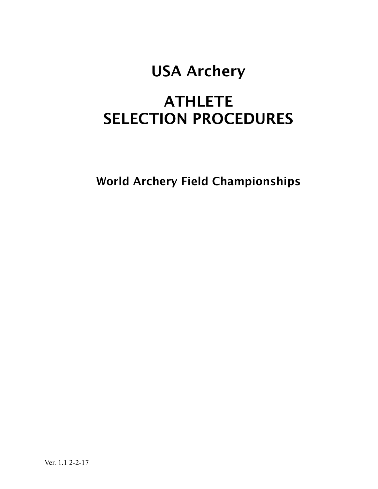# USA Archery

# **ATHLETE** SELECTION PROCEDURES

World Archery Field Championships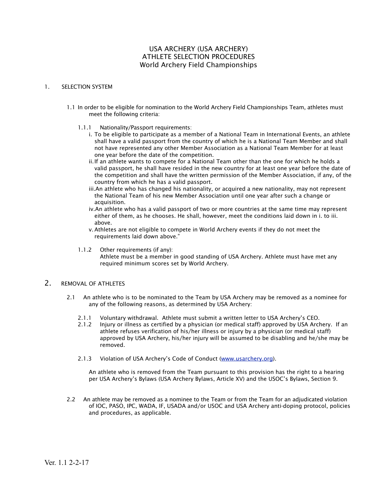# USA ARCHERY (USA ARCHERY) ATHLETE SELECTION PROCEDURES World Archery Field Championships

#### 1. SELECTION SYSTEM

- 1.1 In order to be eligible for nomination to the World Archery Field Championships Team, athletes must meet the following criteria:
	- 1.1.1 Nationality/Passport requirements:
		- i. To be eligible to participate as a member of a National Team in International Events, an athlete shall have a valid passport from the country of which he is a National Team Member and shall not have represented any other Member Association as a National Team Member for at least one year before the date of the competition.
		- ii.If an athlete wants to compete for a National Team other than the one for which he holds a valid passport, he shall have resided in the new country for at least one year before the date of the competition and shall have the written permission of the Member Association, if any, of the country from which he has a valid passport.
		- iii.An athlete who has changed his nationality, or acquired a new nationality, may not represent the National Team of his new Member Association until one year after such a change or acquisition.
		- iv.An athlete who has a valid passport of two or more countries at the same time may represent either of them, as he chooses. He shall, however, meet the conditions laid down in i. to iii. above.
		- v.Athletes are not eligible to compete in World Archery events if they do not meet the requirements laid down above."
	- 1.1.2 Other requirements (if any): Athlete must be a member in good standing of USA Archery. Athlete must have met any required minimum scores set by World Archery.

# 2. REMOVAL OF ATHLETES

- 2.1 An athlete who is to be nominated to the Team by USA Archery may be removed as a nominee for any of the following reasons, as determined by USA Archery:
	- 2.1.1 Voluntary withdrawal. Athlete must submit a written letter to USA Archery's CEO.
	- 2.1.2 Injury or illness as certified by a physician (or medical staff) approved by USA Archery. If an athlete refuses verification of his/her illness or injury by a physician (or medical staff) approved by USA Archery, his/her injury will be assumed to be disabling and he/she may be removed.
	- 2.1.3 Violation of USA Archery's Code of Conduct [\(www.usarchery.org](http://www.usarchery.org)).

An athlete who is removed from the Team pursuant to this provision has the right to a hearing per USA Archery's Bylaws (USA Archery Bylaws, Article XV) and the USOC's Bylaws, Section 9.

2.2 An athlete may be removed as a nominee to the Team or from the Team for an adjudicated violation of IOC, PASO, IPC, WADA, IF, USADA and/or USOC and USA Archery anti-doping protocol, policies and procedures, as applicable.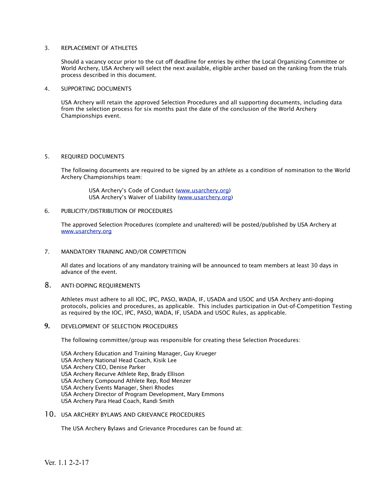### 3. REPLACEMENT OF ATHLETES

Should a vacancy occur prior to the cut off deadline for entries by either the Local Organizing Committee or World Archery, USA Archery will select the next available, eligible archer based on the ranking from the trials process described in this document.

### 4. SUPPORTING DOCUMENTS

USA Archery will retain the approved Selection Procedures and all supporting documents, including data from the selection process for six months past the date of the conclusion of the World Archery Championships event.

# 5. REQUIRED DOCUMENTS

The following documents are required to be signed by an athlete as a condition of nomination to the World Archery Championships team:

 USA Archery's Code of Conduct [\(www.usarchery.org\)](http://www.usarchery.org) USA Archery's Waiver of Liability ([www.usarchery.org](http://www.usarchery.org))

### 6. PUBLICITY/DISTRIBUTION OF PROCEDURES

The approved Selection Procedures (complete and unaltered) will be posted/published by USA Archery at [www.usarchery.org](http://www.usarchery.org)

# 7. MANDATORY TRAINING AND/OR COMPETITION

All dates and locations of any mandatory training will be announced to team members at least 30 days in advance of the event.

# 8. ANTI-DOPING REQUIREMENTS

Athletes must adhere to all IOC, IPC, PASO, WADA, IF, USADA and USOC and USA Archery anti-doping protocols, policies and procedures, as applicable. This includes participation in Out-of-Competition Testing as required by the IOC, IPC, PASO, WADA, IF, USADA and USOC Rules, as applicable.

# **9.** DEVELOPMENT OF SELECTION PROCEDURES

The following committee/group was responsible for creating these Selection Procedures:

USA Archery Education and Training Manager, Guy Krueger USA Archery National Head Coach, Kisik Lee USA Archery CEO, Denise Parker USA Archery Recurve Athlete Rep, Brady Ellison USA Archery Compound Athlete Rep, Rod Menzer USA Archery Events Manager, Sheri Rhodes USA Archery Director of Program Development, Mary Emmons USA Archery Para Head Coach, Randi Smith

# 10. USA ARCHERY BYLAWS AND GRIEVANCE PROCEDURES

The USA Archery Bylaws and Grievance Procedures can be found at: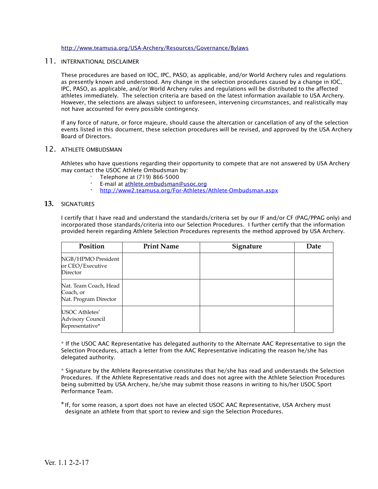#### <http://www.teamusa.org/USA-Archery/Resources/Governance/Bylaws>

# 11. INTERNATIONAL DISCLAIMER

These procedures are based on IOC, IPC, PASO, as applicable, and/or World Archery rules and regulations as presently known and understood. Any change in the selection procedures caused by a change in IOC, IPC, PASO, as applicable, and/or World Archery rules and regulations will be distributed to the affected athletes immediately. The selection criteria are based on the latest information available to USA Archery. However, the selections are always subject to unforeseen, intervening circumstances, and realistically may not have accounted for every possible contingency.

If any force of nature, or force majeure, should cause the altercation or cancellation of any of the selection events listed in this document, these selection procedures will be revised, and approved by the USA Archery Board of Directors.

# 12. ATHLETE OMBUDSMAN

Athletes who have questions regarding their opportunity to compete that are not answered by USA Archery may contact the USOC Athlete Ombudsman by:

- · Telephone at (719) 866-5000
- **·** E-mail at [athlete.ombudsman@usoc.org](mailto:athlete.ombudsman@usoc.org)
- **·** <http://www2.teamusa.org/For-Athletes/Athlete-Ombudsman.aspx>

#### **13.** SIGNATURES

I certify that I have read and understand the standards/criteria set by our IF and/or CF (PAG/PPAG only) and incorporated those standards/criteria into our Selection Procedures. I further certify that the information provided herein regarding Athlete Selection Procedures represents the method approved by USA Archery.

| Position                                                    | <b>Print Name</b> | Signature | Date |
|-------------------------------------------------------------|-------------------|-----------|------|
| NGB/HPMO President<br>or CEO/Executive<br>Director          |                   |           |      |
| Nat. Team Coach, Head<br>Coach, or<br>Nat. Program Director |                   |           |      |
| USOC Athletes'<br>Advisory Council<br>Representative*       |                   |           |      |

\* If the USOC AAC Representative has delegated authority to the Alternate AAC Representative to sign the Selection Procedures, attach a letter from the AAC Representative indicating the reason he/she has delegated authority.

\* Signature by the Athlete Representative constitutes that he/she has read and understands the Selection Procedures. If the Athlete Representative reads and does not agree with the Athlete Selection Procedures being submitted by USA Archery, he/she may submit those reasons in writing to his/her USOC Sport Performance Team.

\*If, for some reason, a sport does not have an elected USOC AAC Representative, USA Archery must designate an athlete from that sport to review and sign the Selection Procedures.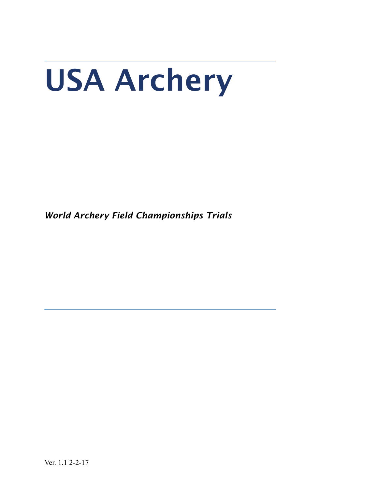# USA Archery

*World Archery Field Championships Trials*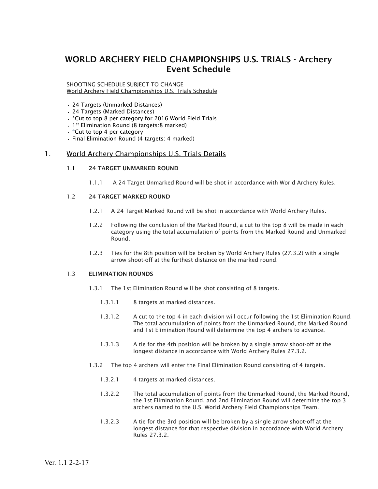# WORLD ARCHERY FIELD CHAMPIONSHIPS U.S. TRIALS - Archery Event Schedule

#### SHOOTING SCHEDULE SUBJECT TO CHANGE World Archery Field Championships U.S. Trials Schedule

- 24 Targets (Unmarked Distances)
- 24 Targets (Marked Distances)
- \*Cut to top 8 per category for 2016 World Field Trials
- 1st Elimination Round (8 targets:8 marked)
- \*Cut to top 4 per category
- Final Elimination Round (4 targets: 4 marked)

# 1. World Archery Championships U.S. Trials Details

### 1.1 24 TARGET UNMARKED ROUND

1.1.1 A 24 Target Unmarked Round will be shot in accordance with World Archery Rules.

### 1.2 24 TARGET MARKED ROUND

- 1.2.1 A 24 Target Marked Round will be shot in accordance with World Archery Rules.
- 1.2.2 Following the conclusion of the Marked Round, a cut to the top 8 will be made in each category using the total accumulation of points from the Marked Round and Unmarked Round.
- 1.2.3 Ties for the 8th position will be broken by World Archery Rules (27.3.2) with a single arrow shoot-off at the furthest distance on the marked round.

# 1.3 ELIMINATION ROUNDS

- 1.3.1 The 1st Elimination Round will be shot consisting of 8 targets.
	- 1.3.1.1 8 targets at marked distances.
	- 1.3.1.2 A cut to the top 4 in each division will occur following the 1st Elimination Round. The total accumulation of points from the Unmarked Round, the Marked Round and 1st Elimination Round will determine the top 4 archers to advance.
	- 1.3.1.3 A tie for the 4th position will be broken by a single arrow shoot-off at the longest distance in accordance with World Archery Rules 27.3.2.
- 1.3.2 The top 4 archers will enter the Final Elimination Round consisting of 4 targets.
	- 1.3.2.1 4 targets at marked distances.
	- 1.3.2.2 The total accumulation of points from the Unmarked Round, the Marked Round, the 1st Elimination Round, and 2nd Elimination Round will determine the top 3 archers named to the U.S. World Archery Field Championships Team.
	- 1.3.2.3 A tie for the 3rd position will be broken by a single arrow shoot-off at the longest distance for that respective division in accordance with World Archery Rules 27.3.2.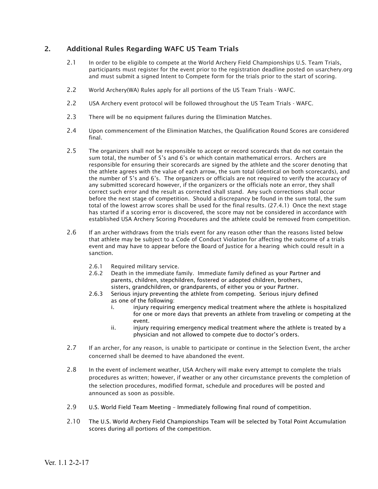# 2. Additional Rules Regarding WAFC US Team Trials

- 2.1 In order to be eligible to compete at the World Archery Field Championships U.S. Team Trials, participants must register for the event prior to the registration deadline posted on usarchery.org and must submit a signed Intent to Compete form for the trials prior to the start of scoring.
- 2.2 World Archery(WA) Rules apply for all portions of the US Team Trials WAFC.
- 2.2 USA Archery event protocol will be followed throughout the US Team Trials WAFC.
- 2.3 There will be no equipment failures during the Elimination Matches.
- 2.4 Upon commencement of the Elimination Matches, the Qualification Round Scores are considered final.
- 2.5 The organizers shall not be responsible to accept or record scorecards that do not contain the sum total, the number of 5's and 6's or which contain mathematical errors. Archers are responsible for ensuring their scorecards are signed by the athlete and the scorer denoting that the athlete agrees with the value of each arrow, the sum total (identical on both scorecards), and the number of 5's and 6's. The organizers or officials are not required to verify the accuracy of any submitted scorecard however, if the organizers or the officials note an error, they shall correct such error and the result as corrected shall stand. Any such corrections shall occur before the next stage of competition. Should a discrepancy be found in the sum total, the sum total of the lowest arrow scores shall be used for the final results. (27.4.1) Once the next stage has started if a scoring error is discovered, the score may not be considered in accordance with established USA Archery Scoring Procedures and the athlete could be removed from competition.
- 2.6 If an archer withdraws from the trials event for any reason other than the reasons listed below that athlete may be subject to a Code of Conduct Violation for affecting the outcome of a trials event and may have to appear before the Board of Justice for a hearing which could result in a sanction.
	- 2.6.1 Required military service.
	- 2.6.2 Death in the immediate family. Immediate family defined as your Partner and parents, children, stepchildren, fostered or adopted children, brothers, sisters, grandchildren, or grandparents, of either you or your Partner.
	- 2.6.3 Serious injury preventing the athlete from competing. Serious injury defined as one of the following:
		- i. injury requiring emergency medical treatment where the athlete is hospitalized for one or more days that prevents an athlete from traveling or competing at the event.
		- ii. injury requiring emergency medical treatment where the athlete is treated by a physician and not allowed to compete due to doctor's orders.
- 2.7 If an archer, for any reason, is unable to participate or continue in the Selection Event, the archer concerned shall be deemed to have abandoned the event.
- 2.8 In the event of inclement weather, USA Archery will make every attempt to complete the trials procedures as written; however, if weather or any other circumstance prevents the completion of the selection procedures, modified format, schedule and procedures will be posted and announced as soon as possible.
- 2.9 U.S. World Field Team Meeting Immediately following final round of competition.
- 2.10 The U.S. World Archery Field Championships Team will be selected by Total Point Accumulation scores during all portions of the competition.